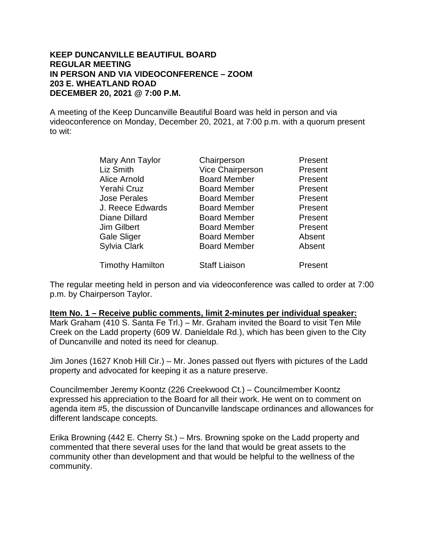#### **KEEP DUNCANVILLE BEAUTIFUL BOARD REGULAR MEETING IN PERSON AND VIA VIDEOCONFERENCE – ZOOM 203 E. WHEATLAND ROAD DECEMBER 20, 2021 @ 7:00 P.M.**

A meeting of the Keep Duncanville Beautiful Board was held in person and via videoconference on Monday, December 20, 2021, at 7:00 p.m. with a quorum present to wit:

| Mary Ann Taylor         | Chairperson             | Present |
|-------------------------|-------------------------|---------|
| Liz Smith               | <b>Vice Chairperson</b> | Present |
| Alice Arnold            | <b>Board Member</b>     | Present |
| Yerahi Cruz             | <b>Board Member</b>     | Present |
| <b>Jose Perales</b>     | <b>Board Member</b>     | Present |
| J. Reece Edwards        | <b>Board Member</b>     | Present |
| Diane Dillard           | <b>Board Member</b>     | Present |
| <b>Jim Gilbert</b>      | <b>Board Member</b>     | Present |
| <b>Gale Sliger</b>      | <b>Board Member</b>     | Absent  |
| Sylvia Clark            | <b>Board Member</b>     | Absent  |
| <b>Timothy Hamilton</b> | <b>Staff Liaison</b>    | Present |

The regular meeting held in person and via videoconference was called to order at 7:00 p.m. by Chairperson Taylor.

**Item No. 1 – Receive public comments, limit 2-minutes per individual speaker:** Mark Graham (410 S. Santa Fe Trl.) – Mr. Graham invited the Board to visit Ten Mile Creek on the Ladd property (609 W. Danieldale Rd.), which has been given to the City of Duncanville and noted its need for cleanup.

Jim Jones (1627 Knob Hill Cir.) – Mr. Jones passed out flyers with pictures of the Ladd property and advocated for keeping it as a nature preserve.

Councilmember Jeremy Koontz (226 Creekwood Ct.) – Councilmember Koontz expressed his appreciation to the Board for all their work. He went on to comment on agenda item #5, the discussion of Duncanville landscape ordinances and allowances for different landscape concepts.

Erika Browning (442 E. Cherry St.) – Mrs. Browning spoke on the Ladd property and commented that there several uses for the land that would be great assets to the community other than development and that would be helpful to the wellness of the community.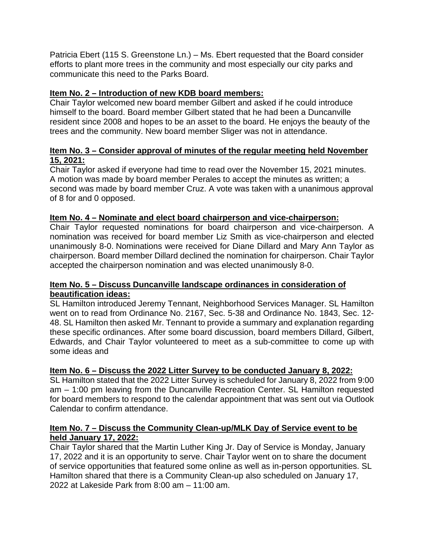Patricia Ebert (115 S. Greenstone Ln.) – Ms. Ebert requested that the Board consider efforts to plant more trees in the community and most especially our city parks and communicate this need to the Parks Board.

# **Item No. 2 – Introduction of new KDB board members:**

Chair Taylor welcomed new board member Gilbert and asked if he could introduce himself to the board. Board member Gilbert stated that he had been a Duncanville resident since 2008 and hopes to be an asset to the board. He enjoys the beauty of the trees and the community. New board member Sliger was not in attendance.

### **Item No. 3 – Consider approval of minutes of the regular meeting held November 15, 2021:**

Chair Taylor asked if everyone had time to read over the November 15, 2021 minutes. A motion was made by board member Perales to accept the minutes as written; a second was made by board member Cruz. A vote was taken with a unanimous approval of 8 for and 0 opposed.

# **Item No. 4 – Nominate and elect board chairperson and vice-chairperson:**

Chair Taylor requested nominations for board chairperson and vice-chairperson. A nomination was received for board member Liz Smith as vice-chairperson and elected unanimously 8-0. Nominations were received for Diane Dillard and Mary Ann Taylor as chairperson. Board member Dillard declined the nomination for chairperson. Chair Taylor accepted the chairperson nomination and was elected unanimously 8-0.

### **Item No. 5 – Discuss Duncanville landscape ordinances in consideration of beautification ideas:**

SL Hamilton introduced Jeremy Tennant, Neighborhood Services Manager. SL Hamilton went on to read from Ordinance No. 2167, Sec. 5-38 and Ordinance No. 1843, Sec. 12- 48. SL Hamilton then asked Mr. Tennant to provide a summary and explanation regarding these specific ordinances. After some board discussion, board members Dillard, Gilbert, Edwards, and Chair Taylor volunteered to meet as a sub-committee to come up with some ideas and

# **Item No. 6 – Discuss the 2022 Litter Survey to be conducted January 8, 2022:**

SL Hamilton stated that the 2022 Litter Survey is scheduled for January 8, 2022 from 9:00 am – 1:00 pm leaving from the Duncanville Recreation Center. SL Hamilton requested for board members to respond to the calendar appointment that was sent out via Outlook Calendar to confirm attendance.

### **Item No. 7 – Discuss the Community Clean-up/MLK Day of Service event to be held January 17, 2022:**

Chair Taylor shared that the Martin Luther King Jr. Day of Service is Monday, January 17, 2022 and it is an opportunity to serve. Chair Taylor went on to share the document of service opportunities that featured some online as well as in-person opportunities. SL Hamilton shared that there is a Community Clean-up also scheduled on January 17, 2022 at Lakeside Park from 8:00 am – 11:00 am.